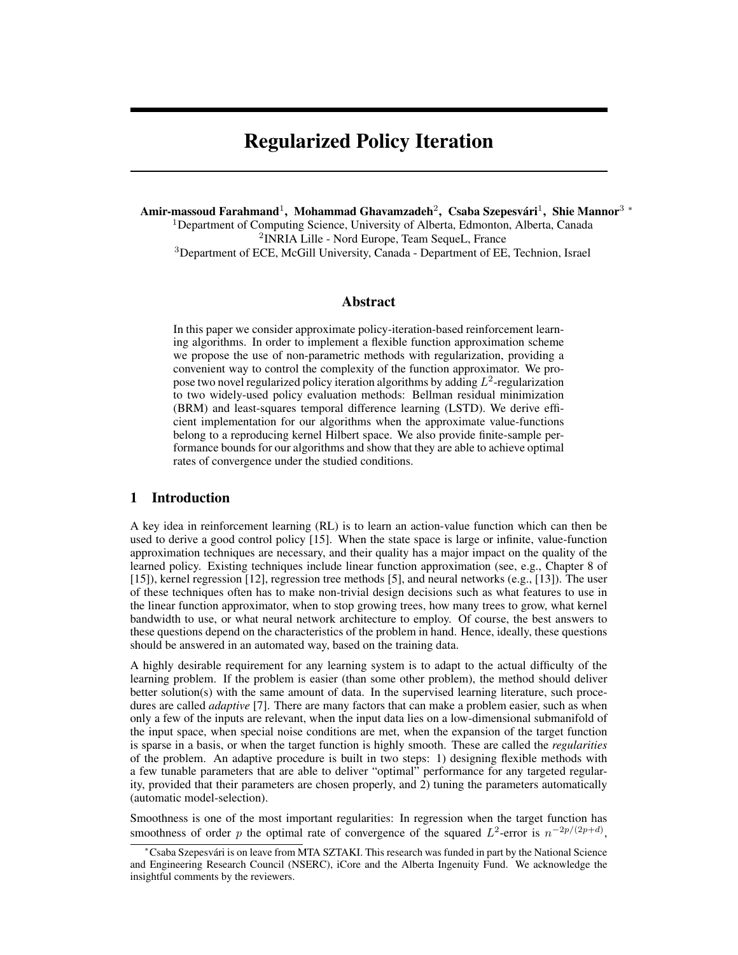# Regularized Policy Iteration

Amir-massoud Farahmand $^1$ , Mohammad Ghavamzadeh $^2$ , Csaba Szepesvári $^1$ , Shie Mannor $^3$  \* <sup>1</sup>Department of Computing Science, University of Alberta, Edmonton, Alberta, Canada 2 INRIA Lille - Nord Europe, Team SequeL, France <sup>3</sup>Department of ECE, McGill University, Canada - Department of EE, Technion, Israel

### Abstract

In this paper we consider approximate policy-iteration-based reinforcement learning algorithms. In order to implement a flexible function approximation scheme we propose the use of non-parametric methods with regularization, providing a convenient way to control the complexity of the function approximator. We propose two novel regularized policy iteration algorithms by adding  $L^2$ -regularization to two widely-used policy evaluation methods: Bellman residual minimization (BRM) and least-squares temporal difference learning (LSTD). We derive efficient implementation for our algorithms when the approximate value-functions belong to a reproducing kernel Hilbert space. We also provide finite-sample performance bounds for our algorithms and show that they are able to achieve optimal rates of convergence under the studied conditions.

## 1 Introduction

A key idea in reinforcement learning (RL) is to learn an action-value function which can then be used to derive a good control policy [15]. When the state space is large or infinite, value-function approximation techniques are necessary, and their quality has a major impact on the quality of the learned policy. Existing techniques include linear function approximation (see, e.g., Chapter 8 of [15]), kernel regression [12], regression tree methods [5], and neural networks (e.g., [13]). The user of these techniques often has to make non-trivial design decisions such as what features to use in the linear function approximator, when to stop growing trees, how many trees to grow, what kernel bandwidth to use, or what neural network architecture to employ. Of course, the best answers to these questions depend on the characteristics of the problem in hand. Hence, ideally, these questions should be answered in an automated way, based on the training data.

A highly desirable requirement for any learning system is to adapt to the actual difficulty of the learning problem. If the problem is easier (than some other problem), the method should deliver better solution(s) with the same amount of data. In the supervised learning literature, such procedures are called *adaptive* [7]. There are many factors that can make a problem easier, such as when only a few of the inputs are relevant, when the input data lies on a low-dimensional submanifold of the input space, when special noise conditions are met, when the expansion of the target function is sparse in a basis, or when the target function is highly smooth. These are called the *regularities* of the problem. An adaptive procedure is built in two steps: 1) designing flexible methods with a few tunable parameters that are able to deliver "optimal" performance for any targeted regularity, provided that their parameters are chosen properly, and 2) tuning the parameters automatically (automatic model-selection).

Smoothness is one of the most important regularities: In regression when the target function has smoothness of order p the optimal rate of convergence of the squared  $L^2$ -error is  $n^{-2p/(2p+d)}$ ,

<sup>∗</sup>Csaba Szepesvari is on leave from MTA SZTAKI. This research was funded in part by the National Science ´ and Engineering Research Council (NSERC), iCore and the Alberta Ingenuity Fund. We acknowledge the insightful comments by the reviewers.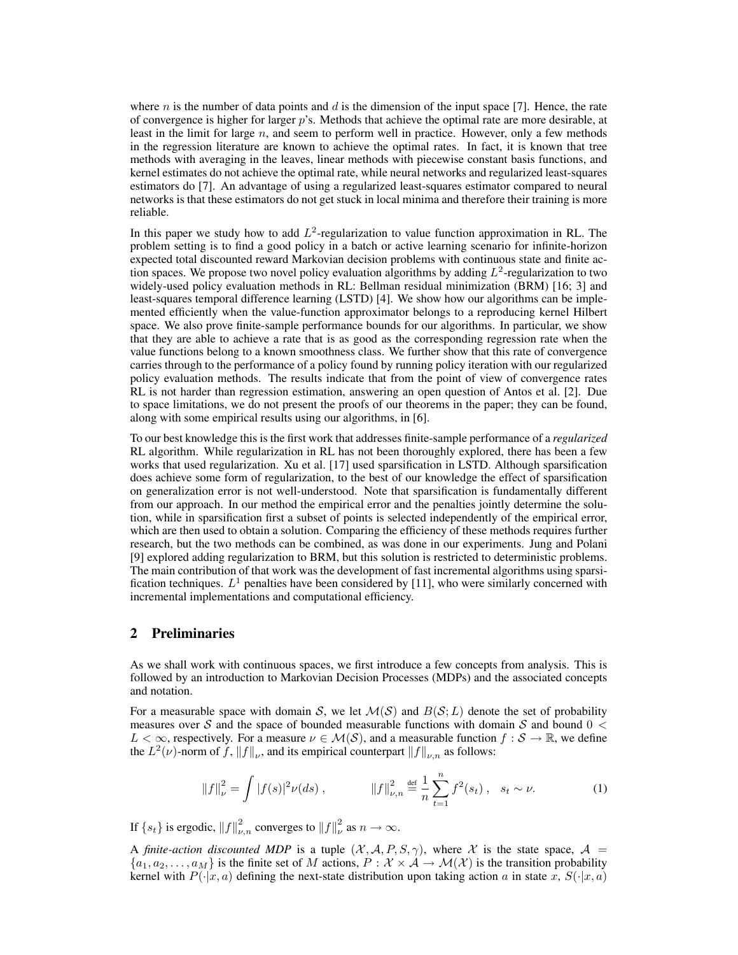where  $n$  is the number of data points and  $d$  is the dimension of the input space [7]. Hence, the rate of convergence is higher for larger  $p$ 's. Methods that achieve the optimal rate are more desirable, at least in the limit for large  $n$ , and seem to perform well in practice. However, only a few methods in the regression literature are known to achieve the optimal rates. In fact, it is known that tree methods with averaging in the leaves, linear methods with piecewise constant basis functions, and kernel estimates do not achieve the optimal rate, while neural networks and regularized least-squares estimators do [7]. An advantage of using a regularized least-squares estimator compared to neural networks is that these estimators do not get stuck in local minima and therefore their training is more reliable.

In this paper we study how to add  $L^2$ -regularization to value function approximation in RL. The problem setting is to find a good policy in a batch or active learning scenario for infinite-horizon expected total discounted reward Markovian decision problems with continuous state and finite action spaces. We propose two novel policy evaluation algorithms by adding  $L^2$ -regularization to two widely-used policy evaluation methods in RL: Bellman residual minimization (BRM) [16; 3] and least-squares temporal difference learning (LSTD) [4]. We show how our algorithms can be implemented efficiently when the value-function approximator belongs to a reproducing kernel Hilbert space. We also prove finite-sample performance bounds for our algorithms. In particular, we show that they are able to achieve a rate that is as good as the corresponding regression rate when the value functions belong to a known smoothness class. We further show that this rate of convergence carries through to the performance of a policy found by running policy iteration with our regularized policy evaluation methods. The results indicate that from the point of view of convergence rates RL is not harder than regression estimation, answering an open question of Antos et al. [2]. Due to space limitations, we do not present the proofs of our theorems in the paper; they can be found, along with some empirical results using our algorithms, in [6].

To our best knowledge this is the first work that addresses finite-sample performance of a *regularized* RL algorithm. While regularization in RL has not been thoroughly explored, there has been a few works that used regularization. Xu et al. [17] used sparsification in LSTD. Although sparsification does achieve some form of regularization, to the best of our knowledge the effect of sparsification on generalization error is not well-understood. Note that sparsification is fundamentally different from our approach. In our method the empirical error and the penalties jointly determine the solution, while in sparsification first a subset of points is selected independently of the empirical error, which are then used to obtain a solution. Comparing the efficiency of these methods requires further research, but the two methods can be combined, as was done in our experiments. Jung and Polani [9] explored adding regularization to BRM, but this solution is restricted to deterministic problems. The main contribution of that work was the development of fast incremental algorithms using sparsification techniques.  $L^1$  penalties have been considered by [11], who were similarly concerned with incremental implementations and computational efficiency.

## 2 Preliminaries

As we shall work with continuous spaces, we first introduce a few concepts from analysis. This is followed by an introduction to Markovian Decision Processes (MDPs) and the associated concepts and notation.

For a measurable space with domain S, we let  $\mathcal{M}(\mathcal{S})$  and  $B(\mathcal{S};L)$  denote the set of probability measures over S and the space of bounded measurable functions with domain S and bound  $0 <$  $L < \infty$ , respectively. For a measure  $\nu \in \mathcal{M}(\mathcal{S})$ , and a measurable function  $f : \mathcal{S} \to \mathbb{R}$ , we define the  $L^2(\nu)$ -norm of f,  $||f||_{\nu}$ , and its empirical counterpart  $||f||_{\nu,n}$  as follows:

$$
||f||_{\nu}^{2} = \int |f(s)|^{2} \nu(ds), \qquad ||f||_{\nu,n}^{2} \stackrel{\text{def}}{=} \frac{1}{n} \sum_{t=1}^{n} f^{2}(s_{t}), \quad s_{t} \sim \nu. \tag{1}
$$

If  $\{s_t\}$  is ergodic,  $||f||^2_{\nu,n}$  converges to  $||f||^2_{\nu}$  as  $n \to \infty$ .

A *finite-action discounted MDP* is a tuple  $(\mathcal{X}, \mathcal{A}, P, S, \gamma)$ , where X is the state space,  $\mathcal{A} =$  $\{a_1, a_2, \ldots, a_M\}$  is the finite set of M actions,  $P : \mathcal{X} \times \mathcal{A} \to \mathcal{M}(\mathcal{X})$  is the transition probability kernel with  $P(\cdot|x, a)$  defining the next-state distribution upon taking action a in state x,  $S(\cdot|x, a)$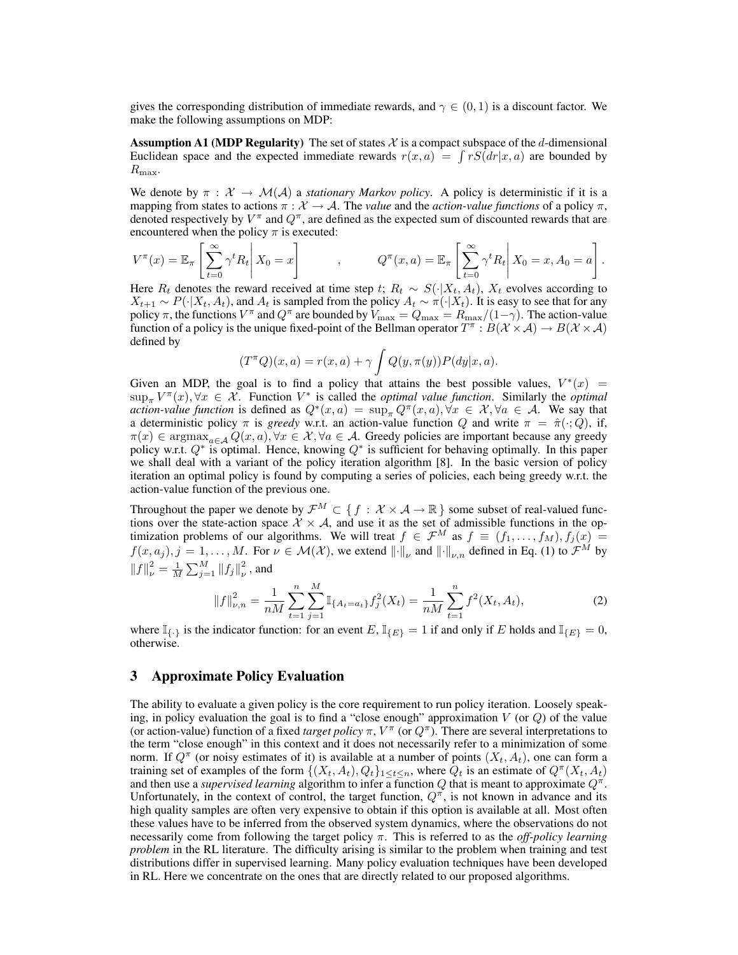gives the corresponding distribution of immediate rewards, and  $\gamma \in (0,1)$  is a discount factor. We make the following assumptions on MDP:

**Assumption A1 (MDP Regularity)** The set of states X is a compact subspace of the d-dimensional Euclidean space and the expected immediate rewards  $r(x, a) = \int rS(dr|x, a)$  are bounded by  $R_{\text{max}}$ .

We denote by  $\pi : \mathcal{X} \to \mathcal{M}(\mathcal{A})$  a *stationary Markov policy*. A policy is deterministic if it is a mapping from states to actions  $\pi : \mathcal{X} \to \mathcal{A}$ . The *value* and the *action-value functions* of a policy  $\pi$ , denoted respectively by  $V^{\pi}$  and  $Q^{\pi}$ , are defined as the expected sum of discounted rewards that are encountered when the policy  $\pi$  is executed:

$$
V^{\pi}(x) = \mathbb{E}_{\pi} \left[ \sum_{t=0}^{\infty} \gamma^{t} R_{t} \middle| X_{0} = x \right], \qquad Q^{\pi}(x, a) = \mathbb{E}_{\pi} \left[ \sum_{t=0}^{\infty} \gamma^{t} R_{t} \middle| X_{0} = x, A_{0} = a \right].
$$

Here  $R_t$  denotes the reward received at time step t;  $R_t \sim S(\cdot | X_t, A_t)$ ,  $X_t$  evolves according to  $X_{t+1} \sim P(\cdot|X_t, A_t)$ , and  $A_t$  is sampled from the policy  $A_t \sim \pi(\cdot|X_t)$ . It is easy to see that for any policy  $\pi$ , the functions  $V^{\pi}$  and  $Q^{\pi}$  are bounded by  $V_{\max} = Q_{\max} = R_{\max}/(1-\gamma)$ . The action-value function of a policy is the unique fixed-point of the Bellman operator  $T^{\pi}: B(\mathcal{X} \times \mathcal{A}) \to B(\mathcal{X} \times \mathcal{A})$ defined by

$$
(T^{\pi}Q)(x,a) = r(x,a) + \gamma \int Q(y,\pi(y))P(dy|x,a).
$$

Given an MDP, the goal is to find a policy that attains the best possible values,  $V^*(x)$  =  $\sup_{\pi} V^{\pi}(x), \forall x \in \mathcal{X}$ . Function  $V^*$  is called the *optimal value function*. Similarly the *optimal action-value function* is defined as  $Q^*(x, a) = \sup_{\pi} Q^{\pi}(x, a), \forall x \in \mathcal{X}, \forall a \in \mathcal{A}$ . We say that a deterministic policy  $\pi$  is *greedy* w.r.t. an action-value function Q and write  $\pi = \hat{\pi}(\cdot; Q)$ , if,  $\pi(x) \in \text{argmax}_{a \in \mathcal{A}} Q(x, a), \forall x \in \mathcal{X}, \forall a \in \mathcal{A}$ . Greedy policies are important because any greedy policy w.r.t.  $Q^*$  is optimal. Hence, knowing  $Q^*$  is sufficient for behaving optimally. In this paper we shall deal with a variant of the policy iteration algorithm [8]. In the basic version of policy iteration an optimal policy is found by computing a series of policies, each being greedy w.r.t. the action-value function of the previous one.

Throughout the paper we denote by  $\mathcal{F}^M \subset \{f : \mathcal{X} \times \mathcal{A} \to \mathbb{R}\}$  some subset of real-valued functions over the state-action space  $\mathcal{X} \times \mathcal{A}$ , and use it as the set of admissible functions in the optimization problems of our algorithms. We will treat  $f \in \mathcal{F}^M$  as  $f \equiv (f_1, \ldots, f_M), f_j(x) =$  $f(x, a_j), j = 1, \ldots, M$ . For  $\nu \in \mathcal{M}(\mathcal{X})$ , we extend  $\lVert \cdot \rVert_{\nu}$  and  $\lVert \cdot \rVert_{\nu,n}$  defined in Eq. (1) to  $\mathcal{F}^M$  by  $||f||_{\nu}^2 = \frac{1}{M} \sum_{j=1}^M ||f_j||_{\nu}^2$  $\frac{2}{\nu}$ , and

$$
||f||_{\nu,n}^2 = \frac{1}{nM} \sum_{t=1}^n \sum_{j=1}^M \mathbb{I}_{\{A_t = a_t\}} f_j^2(X_t) = \frac{1}{nM} \sum_{t=1}^n f^2(X_t, A_t),
$$
 (2)

where  $\mathbb{I}_{\{\cdot\}}$  is the indicator function: for an event  $E$ ,  $\mathbb{I}_{\{E\}} = 1$  if and only if E holds and  $\mathbb{I}_{\{E\}} = 0$ , otherwise.

## 3 Approximate Policy Evaluation

The ability to evaluate a given policy is the core requirement to run policy iteration. Loosely speaking, in policy evaluation the goal is to find a "close enough" approximation  $V$  (or  $Q$ ) of the value (or action-value) function of a fixed *target policy*  $\pi$ ,  $V^{\pi}$  (or  $Q^{\pi}$ ). There are several interpretations to the term "close enough" in this context and it does not necessarily refer to a minimization of some norm. If  $Q^{\pi}$  (or noisy estimates of it) is available at a number of points  $(X_t, A_t)$ , one can form a training set of examples of the form  $\{(X_t, A_t), Q_t\}_{1 \leq t \leq n}$ , where  $\tilde{Q}_t$  is an estimate of  $Q^{\pi}(X_t, A_t)$ and then use a *supervised learning* algorithm to infer a function Q that is meant to approximate  $Q^{\pi}$ . Unfortunately, in the context of control, the target function,  $Q^{\pi}$ , is not known in advance and its high quality samples are often very expensive to obtain if this option is available at all. Most often these values have to be inferred from the observed system dynamics, where the observations do not necessarily come from following the target policy π. This is referred to as the *off-policy learning problem* in the RL literature. The difficulty arising is similar to the problem when training and test distributions differ in supervised learning. Many policy evaluation techniques have been developed in RL. Here we concentrate on the ones that are directly related to our proposed algorithms.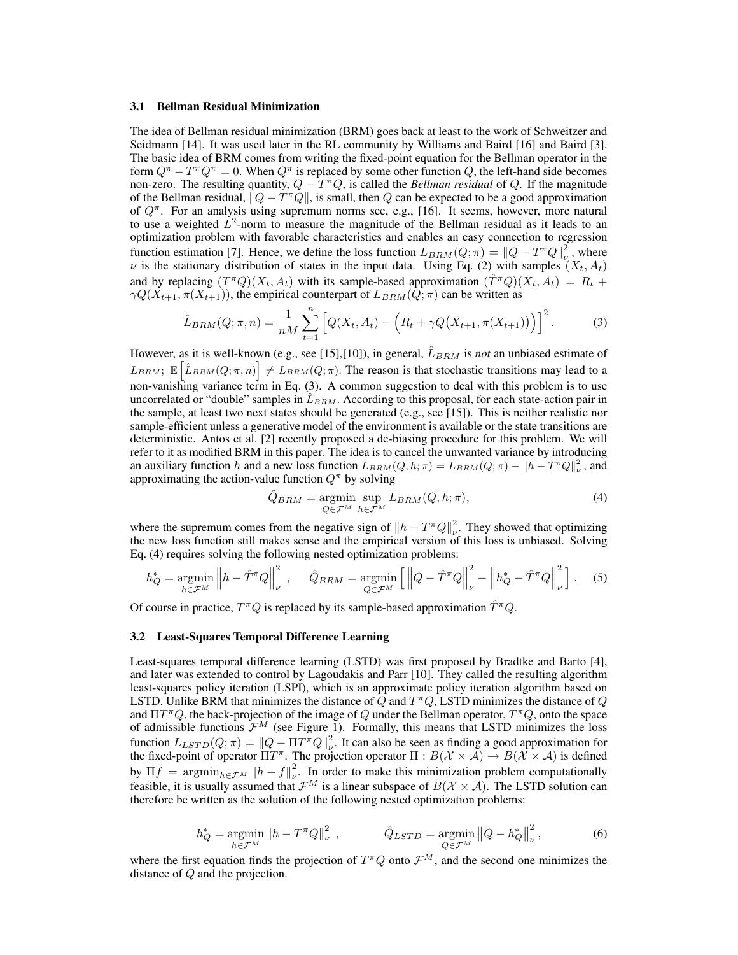#### 3.1 Bellman Residual Minimization

The idea of Bellman residual minimization (BRM) goes back at least to the work of Schweitzer and Seidmann [14]. It was used later in the RL community by Williams and Baird [16] and Baird [3]. The basic idea of BRM comes from writing the fixed-point equation for the Bellman operator in the form  $Q^{\pi} - T^{\pi}Q^{\pi} = 0$ . When  $Q^{\pi}$  is replaced by some other function Q, the left-hand side becomes non-zero. The resulting quantity,  $Q - T^{\pi}Q$ , is called the *Bellman residual* of Q. If the magnitude of the Bellman residual,  $||Q - T^{\pi}Q||$ , is small, then Q can be expected to be a good approximation of  $Q^{\pi}$ . For an analysis using supremum norms see, e.g., [16]. It seems, however, more natural to use a weighted  $\dot{L}^2$ -norm to measure the magnitude of the Bellman residual as it leads to an optimization problem with favorable characteristics and enables an easy connection to regression function estimation [7]. Hence, we define the loss function  $L_{BRM}(Q; \pi) = ||Q - T^{\pi}Q||_{\nu}^2$ , where  $\nu$  is the stationary distribution of states in the input data. Using Eq. (2) with samples  $(X_t, A_t)$ and by replacing  $(T^{\pi}Q)(X_t, A_t)$  with its sample-based approximation  $(T^{\pi}Q)(X_t, A_t) = R_t +$  $\gamma Q(X_{t+1}, \pi(X_{t+1}))$ , the empirical counterpart of  $L_{BRM}(\overline{Q}; \pi)$  can be written as

$$
\hat{L}_{BRM}(Q; \pi, n) = \frac{1}{nM} \sum_{t=1}^{n} \left[ Q(X_t, A_t) - \left( R_t + \gamma Q(X_{t+1}, \pi(X_{t+1})) \right) \right]^2.
$$
 (3)

However, as it is well-known (e.g., see [15],[10]), in general,  $\hat{L}_{BRM}$  is *not* an unbiased estimate of  $L_{BRM}$ ;  $\mathbb{E}\left[\hat{L}_{BRM}(Q;\pi,n)\right] \neq L_{BRM}(Q;\pi)$ . The reason is that stochastic transitions may lead to a non-vanishing variance term in Eq. (3). A common suggestion to deal with this problem is to use uncorrelated or "double" samples in  $\hat{L}_{BRM}$ . According to this proposal, for each state-action pair in the sample, at least two next states should be generated (e.g., see [15]). This is neither realistic nor sample-efficient unless a generative model of the environment is available or the state transitions are deterministic. Antos et al. [2] recently proposed a de-biasing procedure for this problem. We will refer to it as modified BRM in this paper. The idea is to cancel the unwanted variance by introducing an auxiliary function h and a new loss function  $L_{BRM}(Q, h; \pi) = L_{BRM}(Q; \pi) - ||h - T^{\pi}Q||_{\nu}^2$ , and approximating the action-value function  $Q^{\pi}$  by solving

$$
\hat{Q}_{BRM} = \underset{Q \in \mathcal{F}^M}{\text{argmin}} \sup_{h \in \mathcal{F}^M} L_{BRM}(Q, h; \pi), \tag{4}
$$

where the supremum comes from the negative sign of  $||h - T^{\pi}Q||_{\nu}^2$ . They showed that optimizing the new loss function still makes sense and the empirical version of this loss is unbiased. Solving Eq. (4) requires solving the following nested optimization problems:

$$
h_Q^* = \underset{h \in \mathcal{F}^M}{\text{argmin}} \left\| h - \hat{T}^{\pi} Q \right\|_{\nu}^2, \quad \hat{Q}_{BRM} = \underset{Q \in \mathcal{F}^M}{\text{argmin}} \left[ \left\| Q - \hat{T}^{\pi} Q \right\|_{\nu}^2 - \left\| h_Q^* - \hat{T}^{\pi} Q \right\|_{\nu}^2 \right]. \tag{5}
$$

Of course in practice,  $T^{\pi}Q$  is replaced by its sample-based approximation  $\hat{T}^{\pi}Q$ .

#### 3.2 Least-Squares Temporal Difference Learning

Least-squares temporal difference learning (LSTD) was first proposed by Bradtke and Barto [4], and later was extended to control by Lagoudakis and Parr [10]. They called the resulting algorithm least-squares policy iteration (LSPI), which is an approximate policy iteration algorithm based on LSTD. Unlike BRM that minimizes the distance of  $\tilde{Q}$  and  $T^{\pi}Q$ , LSTD minimizes the distance of  $Q$ and  $\Pi T^{\pi}Q$ , the back-projection of the image of Q under the Bellman operator,  $T^{\pi}Q$ , onto the space of admissible functions  $\mathcal{F}^M$  (see Figure 1). Formally, this means that LSTD minimizes the loss function  $L_{LSTD}(Q; \pi) = ||Q - \Pi T^{\pi} Q||_{\nu}^2$ . It can also be seen as finding a good approximation for the fixed-point of operator  $\Pi T^{\pi}$ . The projection operator  $\Pi : B(\mathcal{X} \times \overline{\mathcal{A}}) \to B(\overline{\mathcal{X}} \times \mathcal{A})$  is defined by  $\Pi f = \operatorname{argmin}_{h \in \mathcal{F}^M} \|h - f\|_{\nu}^2$ . In order to make this minimization problem computationally feasible, it is usually assumed that  $\mathcal{F}^M$  is a linear subspace of  $B(\mathcal{X} \times \mathcal{A})$ . The LSTD solution can therefore be written as the solution of the following nested optimization problems:

$$
h_Q^* = \underset{h \in \mathcal{F}^M}{\text{argmin}} \|h - T^{\pi} Q\|_{\nu}^2 \,, \qquad \hat{Q}_{LSTD} = \underset{Q \in \mathcal{F}^M}{\text{argmin}} \|Q - h_Q^*\|_{\nu}^2 \,, \tag{6}
$$

where the first equation finds the projection of  $T^{\pi}Q$  onto  $\mathcal{F}^{M}$ , and the second one minimizes the distance of Q and the projection.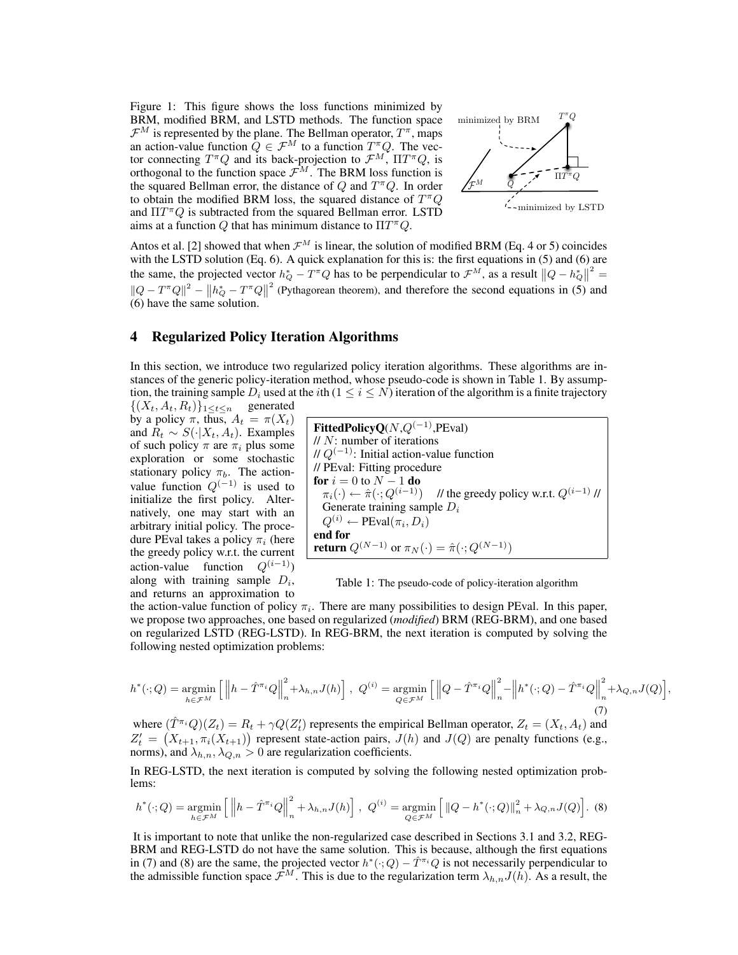Figure 1: This figure shows the loss functions minimized by BRM, modified BRM, and LSTD methods. The function space  $\mathcal{F}^M$  is represented by the plane. The Bellman operator,  $T^{\pi}$ , maps an action-value function  $Q \in \mathcal{F}^M$  to a function  $T^{\pi}Q$ . The vector connecting  $T^{\pi}Q$  and its back-projection to  $\mathcal{F}^M$ ,  $\Pi T^{\pi}Q$ , is orthogonal to the function space  $\mathcal{F}^M$ . The BRM loss function is the squared Bellman error, the distance of  $Q$  and  $T^{\pi}Q$ . In order to obtain the modified BRM loss, the squared distance of  $T^{\pi}Q$ and  $\Pi T^{\pi}Q$  is subtracted from the squared Bellman error. LSTD aims at a function Q that has minimum distance to  $\Pi T^{\pi}Q$ .



Antos et al. [2] showed that when  $\mathcal{F}^M$  is linear, the solution of modified BRM (Eq. 4 or 5) coincides with the LSTD solution (Eq. 6). A quick explanation for this is: the first equations in (5) and (6) are the same, the projected vector  $h_Q^* - T^*Q$  has to be perpendicular to  $\mathcal{F}^M$ , as a result  $||Q - h_Q^*||^2 =$  $||Q - T^{\pi}Q||^2 - ||h_Q^* - T^{\pi}Q||^2$  (Pythagorean theorem), and therefore the second equations in (5) and (6) have the same solution.

## 4 Regularized Policy Iteration Algorithms

In this section, we introduce two regularized policy iteration algorithms. These algorithms are instances of the generic policy-iteration method, whose pseudo-code is shown in Table 1. By assumption, the training sample  $D_i$  used at the *i*th ( $1 \le i \le N$ ) iteration of the algorithm is a finite trajectory

 $\{(X_t, A_t, R_t)\}_{1 \leq t \leq n}$  generated by a policy  $\pi$ , thus,  $A_t = \pi(X_t)$ and  $R_t \sim S(\cdot | X_t, A_t)$ . Examples of such policy  $\pi$  are  $\pi_i$  plus some exploration or some stochastic stationary policy  $\pi_b$ . The actionvalue function  $Q^{(-1)}$  is used to initialize the first policy. Alternatively, one may start with an arbitrary initial policy. The procedure PEval takes a policy  $\pi_i$  (here the greedy policy w.r.t. the current action-value function  $Q^{(i-1)}$ ) along with training sample  $D_i$ , and returns an approximation to



Table 1: The pseudo-code of policy-iteration algorithm

the action-value function of policy  $\pi_i$ . There are many possibilities to design PEval. In this paper, we propose two approaches, one based on regularized *(modified)* BRM (REG-BRM), and one based on regularized LSTD (REG-LSTD). In REG-BRM, the next iteration is computed by solving the following nested optimization problems:

$$
h^*(\cdot; Q) = \underset{h \in \mathcal{F}^M}{\text{argmin}} \left[ \left\| h - \hat{T}^{\pi_i} Q \right\|_n^2 + \lambda_{h,n} J(h) \right], \ Q^{(i)} = \underset{Q \in \mathcal{F}^M}{\text{argmin}} \left[ \left\| Q - \hat{T}^{\pi_i} Q \right\|_n^2 - \left\| h^*(\cdot; Q) - \hat{T}^{\pi_i} Q \right\|_n^2 + \lambda_{Q,n} J(Q) \right],
$$
\n(7)

where  $(\hat{T}^{\pi_i}Q)(Z_t) = R_t + \gamma Q(Z'_t)$  represents the empirical Bellman operator,  $Z_t = (X_t, A_t)$  and  $Z_t' = (X_{t+1}, \pi_i(X_{t+1}))$  represent state-action pairs,  $J(h)$  and  $J(Q)$  are penalty functions (e.g., norms), and  $\lambda_{h,n}$ ,  $\lambda_{Q,n} > 0$  are regularization coefficients.

In REG-LSTD, the next iteration is computed by solving the following nested optimization problems:

$$
h^*(\cdot; Q) = \underset{h \in \mathcal{F}^M}{\text{argmin}} \left[ \left\| h - \hat{T}^{\pi_i} Q \right\|_n^2 + \lambda_{h,n} J(h) \right], \ Q^{(i)} = \underset{Q \in \mathcal{F}^M}{\text{argmin}} \left[ \left\| Q - h^*(\cdot; Q) \right\|_n^2 + \lambda_{Q,n} J(Q) \right]. \tag{8}
$$

It is important to note that unlike the non- regularized case described in Sections 3.1 and 3.2, REG-BRM and REG-LSTD do not have the same solution. This is because, although the first equations in (7) and (8) are the same, the projected vector  $h^*(\cdot; Q) - \hat{T}^{\pi_i}Q$  is not necessarily perpendicular to the admissible function space  $\mathcal{F}^M$ . This is due to the regularization term  $\lambda_{h,n}J(h)$ . As a result, the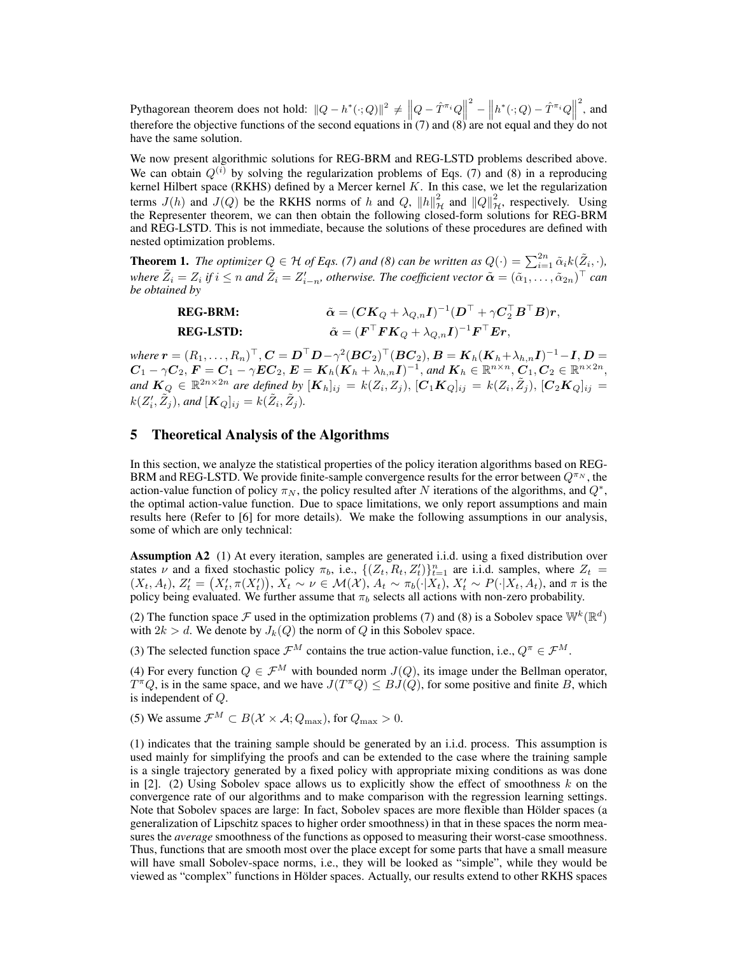Pythagorean theorem does not hold:  $||Q - h^*(\cdot; Q)||^2 \neq ||Q - \hat{T}^{\pi_i}Q||$  $\hat{T}^2 - \left\| h^*(\cdot;Q) - \hat{T}^{\pi_i}Q \right\|_2$  $\frac{2}{3}$ , and therefore the objective functions of the second equations in  $(7)$  and  $(8)$  are not equal and they do not have the same solution.

We now present algorithmic solutions for REG-BRM and REG-LSTD problems described above. We can obtain  $Q^{(i)}$  by solving the regularization problems of Eqs. (7) and (8) in a reproducing kernel Hilbert space (RKHS) defined by a Mercer kernel  $K$ . In this case, we let the regularization terms  $J(h)$  and  $J(Q)$  be the RKHS norms of h and Q,  $||h||^2_{\mathcal{H}}$  and  $||Q||^2_{\mathcal{H}}$ , respectively. Using the Representer theorem, we can then obtain the following closed-form solutions for REG-BRM and REG-LSTD. This is not immediate, because the solutions of these procedures are defined with nested optimization problems.

**Theorem 1.** The optimizer  $Q \in H$  of Eqs. (7) and (8) can be written as  $Q(\cdot) = \sum_{i=1}^{2n} \tilde{\alpha}_i k(\tilde{Z}_i, \cdot)$ , where  $\tilde{Z}_i = Z_i$  if  $i \leq n$  and  $\tilde{Z}_i = Z'_{i-n}$ , otherwise. The coefficient vector  $\tilde{\bm{\alpha}} = (\tilde{\alpha}_1, \ldots, \tilde{\alpha}_{2n})^\top$  can *be obtained by*

| <b>REG-BRM:</b>  | $\tilde{\boldsymbol{\alpha}} = (\boldsymbol{C}\boldsymbol{K}_{Q} + \lambda_{Q,n}\boldsymbol{I})^{-1}(\boldsymbol{D}^{\top} + \gamma \boldsymbol{C}_{2}^{\top}\boldsymbol{B}^{\top}\boldsymbol{B})\boldsymbol{r},$ |
|------------------|-------------------------------------------------------------------------------------------------------------------------------------------------------------------------------------------------------------------|
| <b>REG-LSTD:</b> | $\tilde{\boldsymbol{\alpha}} = (\boldsymbol{F}^\top \boldsymbol{F} \boldsymbol{K}_Q + \lambda_{Q,n} \boldsymbol{I})^{-1} \boldsymbol{F}^\top \boldsymbol{E} \boldsymbol{r},$                                      |

where  $\bm{r}=(R_1,\ldots,R_n)^\top$  ,  $\bm{C}=\bm{D}^\top \bm{D}-\gamma^2(\bm{B}\bm{C}_2)^\top(\bm{B}\bm{C}_2),$   $\bm{B}=\bm{K}_h(\bm{K}_h\!+\!\lambda_{h,n}\bm{I})^{-1}\!-\!\bm{I},$   $\bm{D}=$  $\boldsymbol{C}_1 - \gamma \boldsymbol{C}_2, \boldsymbol{F} = \boldsymbol{C}_1 - \gamma \boldsymbol{E} \boldsymbol{C}_2, \boldsymbol{E} = \boldsymbol{K}_h (\boldsymbol{K}_h + \lambda_{h,n} \boldsymbol{I})^{-1},$  and  $\boldsymbol{K}_h \in \mathbb{R}^{n \times n}, \boldsymbol{C}_1, \boldsymbol{C}_2 \in \mathbb{R}^{n \times 2n},$ and  $K_Q \in \mathbb{R}^{2n \times 2n}$  are defined by  $[K_h]_{ij} = k(Z_i, Z_j), [C_1 K_Q]_{ij} = k(Z_i, \tilde{Z}_j), [C_2 K_Q]_{ij} = k(Z_i, \tilde{Z}_j)$  $k(Z_i', \tilde{Z}_j)$ , and  $[\mathbf{K}_Q]_{ij} = k(\tilde{Z}_i, \tilde{Z}_j)$ .

## 5 Theoretical Analysis of the Algorithms

In this section, we analyze the statistical properties of the policy iteration algorithms based on REG-BRM and REG-LSTD. We provide finite-sample convergence results for the error between  $Q^{\pi_N}$ , the action-value function of policy  $\pi_N$ , the policy resulted after N iterations of the algorithms, and  $Q^*$ , the optimal action-value function. Due to space limitations, we only report assumptions and main results here (Refer to [6] for more details). We make the following assumptions in our analysis, some of which are only technical:

Assumption A2 (1) At every iteration, samples are generated i.i.d. using a fixed distribution over states  $\nu$  and a fixed stochastic policy  $\pi_b$ , i.e.,  $\{(Z_t, R_t, Z_t)\}_{t=1}^n$  are i.i.d. samples, where  $Z_t$  $(X_t, A_t)$ ,  $Z'_t = (X'_t, \pi(X'_t)), X_t \sim \nu \in \mathcal{M}(\mathcal{X}), A_t \sim \pi_b(\cdot | X_t), X'_t \sim P(\cdot | X_t, A_t)$ , and  $\pi$  is the policy being evaluated. We further assume that  $\pi_b$  selects all actions with non-zero probability.

(2) The function space F used in the optimization problems (7) and (8) is a Sobolev space  $\mathbb{W}^k(\mathbb{R}^d)$ with  $2k > d$ . We denote by  $J_k(Q)$  the norm of Q in this Sobolev space.

(3) The selected function space  $\mathcal{F}^M$  contains the true action-value function, i.e.,  $Q^{\pi} \in \mathcal{F}^M$ .

(4) For every function  $Q \in \mathcal{F}^M$  with bounded norm  $J(Q)$ , its image under the Bellman operator,  $T^{\pi}Q$ , is in the same space, and we have  $J(T^{\pi}Q) \leq BJ(Q)$ , for some positive and finite B, which is independent of Q.

(5) We assume  $\mathcal{F}^M \subset B(\mathcal{X} \times \mathcal{A}; Q_{\text{max}})$ , for  $Q_{\text{max}} > 0$ .

(1) indicates that the training sample should be generated by an i.i.d. process. This assumption is used mainly for simplifying the proofs and can be extended to the case where the training sample is a single trajectory generated by a fixed policy with appropriate mixing conditions as was done in  $[2]$ . (2) Using Sobolev space allows us to explicitly show the effect of smoothness k on the convergence rate of our algorithms and to make comparison with the regression learning settings. Note that Sobolev spaces are large: In fact, Sobolev spaces are more flexible than Hölder spaces (a generalization of Lipschitz spaces to higher order smoothness) in that in these spaces the norm measures the *average* smoothness of the functions as opposed to measuring their worst-case smoothness. Thus, functions that are smooth most over the place except for some parts that have a small measure will have small Sobolev-space norms, i.e., they will be looked as "simple", while they would be viewed as "complex" functions in Hölder spaces. Actually, our results extend to other RKHS spaces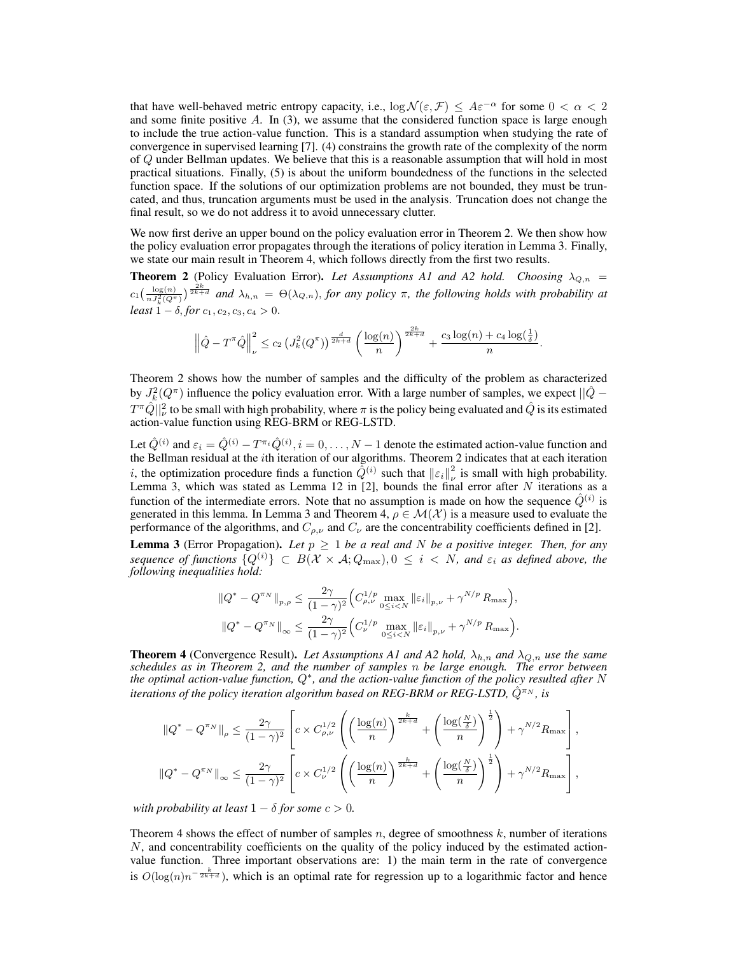that have well-behaved metric entropy capacity, i.e.,  $\log \mathcal{N}(\varepsilon, \mathcal{F}) \leq A \varepsilon^{-\alpha}$  for some  $0 < \alpha < 2$ and some finite positive A. In (3), we assume that the considered function space is large enough to include the true action-value function. This is a standard assumption when studying the rate of convergence in supervised learning [7]. (4) constrains the growth rate of the complexity of the norm of Q under Bellman updates. We believe that this is a reasonable assumption that will hold in most practical situations. Finally, (5) is about the uniform boundedness of the functions in the selected function space. If the solutions of our optimization problems are not bounded, they must be truncated, and thus, truncation arguments must be used in the analysis. Truncation does not change the final result, so we do not address it to avoid unnecessary clutter.

We now first derive an upper bound on the policy evaluation error in Theorem 2. We then show how the policy evaluation error propagates through the iterations of policy iteration in Lemma 3. Finally, we state our main result in Theorem 4, which follows directly from the first two results.

**Theorem 2** (Policy Evaluation Error). Let Assumptions A1 and A2 hold. Choosing  $\lambda_{Q,n}$  =  $c_1(\frac{\log(n)}{nJ_k^2(Q\pi)})^{\frac{2k}{2k+d}}$  and  $\lambda_{h,n} = \Theta(\lambda_{Q,n})$ , for any policy  $\pi$ , the following holds with probability at *least*  $1 - \delta$ , *for*  $c_1$ ,  $c_2$ ,  $c_3$ ,  $c_4 > 0$ .

$$
\left\|\hat{Q}-T^{\pi}\hat{Q}\right\|_{\nu}^{2} \leq c_{2}\left(J_{k}^{2}(Q^{\pi})\right)^{\frac{d}{2k+d}}\left(\frac{\log(n)}{n}\right)^{\frac{2k}{2k+d}}+\frac{c_{3}\log(n)+c_{4}\log(\frac{1}{\delta})}{n}.
$$

Theorem 2 shows how the number of samples and the difficulty of the problem as characterized by  $J_k^2(Q^{\pi})$  influence the policy evaluation error. With a large number of samples, we expect  $||\hat{Q} T^\pi\hat{Q}||^2_\nu$  to be small with high probability, where  $\pi$  is the policy being evaluated and  $\hat{Q}$  is its estimated action-value function using REG-BRM or REG-LSTD.

Let  $\hat{Q}^{(i)}$  and  $\varepsilon_i = \hat{Q}^{(i)} - T^{\pi_i} \hat{Q}^{(i)}$ ,  $i = 0, \ldots, N-1$  denote the estimated action-value function and the Bellman residual at the *i*th iteration of our algorithms. Theorem 2 indicates that at each iteration *i*, the optimization procedure finds a function  $\hat{Q}^{(i)}$  such that  $\| \varepsilon_i \|_{\nu}^2$  is small with high probability. Lemma 3, which was stated as Lemma 12 in [2], bounds the final error after  $N$  iterations as a function of the intermediate errors. Note that no assumption is made on how the sequence  $\hat{Q}^{(i)}$  is generated in this lemma. In Lemma 3 and Theorem 4,  $\rho \in \mathcal{M}(\mathcal{X})$  is a measure used to evaluate the performance of the algorithms, and  $C_{\rho,\nu}$  and  $C_{\nu}$  are the concentrability coefficients defined in [2].

**Lemma 3** (Error Propagation). Let  $p \geq 1$  be a real and N be a positive integer. Then, for any *sequence of functions*  $\{Q^{(i)}\} \subset B(\mathcal{X} \times \mathcal{A}; Q_{\text{max}}), 0 \leq i \leq N$ , and  $\varepsilon_i$  *as defined above, the following inequalities hold:*

$$
\label{eq:est} \begin{split} \left\|Q^* - Q^{\pi_N}\right\|_{p,\rho} &\leq \frac{2\gamma}{(1-\gamma)^2}\Big(C_{\rho,\nu}^{1/p}\max_{0\leq i< N}\left\|\varepsilon_i\right\|_{p,\nu} + \gamma^{N/p}\,R_{\max}\Big),\\ \left\|Q^* - Q^{\pi_N}\right\|_{\infty} &\leq \frac{2\gamma}{(1-\gamma)^2}\Big(C_{\nu}^{1/p}\max_{0\leq i< N}\left\|\varepsilon_i\right\|_{p,\nu} + \gamma^{N/p}\,R_{\max}\Big). \end{split}
$$

**Theorem 4** (Convergence Result). Let Assumptions A1 and A2 hold,  $\lambda_{h,n}$  and  $\lambda_{Q,n}$  use the same *schedules as in Theorem 2, and the number of samples* n *be large enough. The error between the optimal action-value function,* Q<sup>∗</sup> *, and the action-value function of the policy resulted after* N *iterations of the policy iteration algorithm based on REG-BRM or REG-LSTD,*  $\hat{Q}^{\pi_N}$ *, is* 

$$
\|Q^* - Q^{\pi_N}\|_{\rho} \le \frac{2\gamma}{(1-\gamma)^2} \left[c \times C_{\rho,\nu}^{1/2} \left( \left(\frac{\log(n)}{n}\right)^{\frac{k}{2k+d}} + \left(\frac{\log(\frac{N}{\delta})}{n}\right)^{\frac{1}{2}} \right) + \gamma^{N/2} R_{\max} \right],
$$
  

$$
\|Q^* - Q^{\pi_N}\|_{\infty} \le \frac{2\gamma}{(1-\gamma)^2} \left[c \times C_{\nu}^{1/2} \left( \left(\frac{\log(n)}{n}\right)^{\frac{k}{2k+d}} + \left(\frac{\log(\frac{N}{\delta})}{n}\right)^{\frac{1}{2}} \right) + \gamma^{N/2} R_{\max} \right],
$$

*with probability at least*  $1 - \delta$  *for some*  $c > 0$ *.* 

Theorem 4 shows the effect of number of samples  $n$ , degree of smoothness  $k$ , number of iterations  $N$ , and concentrability coefficients on the quality of the policy induced by the estimated actionvalue function. Three important observations are: 1) the main term in the rate of convergence is  $O(log(n)n^{-\frac{k}{2k+d}})$ , which is an optimal rate for regression up to a logarithmic factor and hence